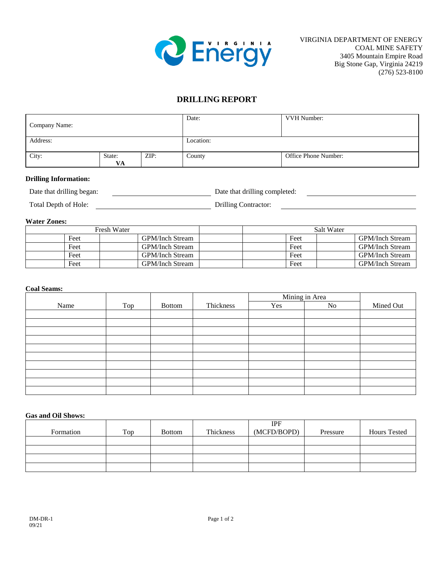

<u> 1989 - Johann Barn, mars ann an t-Aonaich an t-Aonaich an t-Aonaich an t-Aonaich an t-Aonaich an t-Aonaich an</u>

# **DRILLING REPORT**

| Company Name: |              |           | Date:  | VVH Number:          |
|---------------|--------------|-----------|--------|----------------------|
| Address:      |              | Location: |        |                      |
| City:         | State:<br>VA | ZIP:      | County | Office Phone Number: |

# **Drilling Information:**

| Date that drilling began: | Date that drilling completed: |
|---------------------------|-------------------------------|
|                           |                               |

Total Depth of Hole: <u>Drilling Contractor:</u>

### **Water Zones:**

|      | Fresh Water     | Salt Water |                        |  |
|------|-----------------|------------|------------------------|--|
| Feet | GPM/Inch Stream | Feet       | <b>GPM/Inch Stream</b> |  |
| Feet | GPM/Inch Stream | Feet       | <b>GPM/Inch Stream</b> |  |
| Feet | GPM/Inch Stream | Feet       | <b>GPM/Inch Stream</b> |  |
| Feet | GPM/Inch Stream | Feet       | <b>GPM/Inch Stream</b> |  |

# **Coal Seams:**

|      |     |        |           | Mining in Area |    |           |
|------|-----|--------|-----------|----------------|----|-----------|
| Name | Top | Bottom | Thickness | Yes            | No | Mined Out |
|      |     |        |           |                |    |           |
|      |     |        |           |                |    |           |
|      |     |        |           |                |    |           |
|      |     |        |           |                |    |           |
|      |     |        |           |                |    |           |
|      |     |        |           |                |    |           |
|      |     |        |           |                |    |           |
|      |     |        |           |                |    |           |
|      |     |        |           |                |    |           |
|      |     |        |           |                |    |           |

#### **Gas and Oil Shows:**

| Formation | Top | <b>Bottom</b> | Thickness | IPF<br>(MCFD/BOPD) | Pressure | <b>Hours Tested</b> |
|-----------|-----|---------------|-----------|--------------------|----------|---------------------|
|           |     |               |           |                    |          |                     |
|           |     |               |           |                    |          |                     |
|           |     |               |           |                    |          |                     |
|           |     |               |           |                    |          |                     |